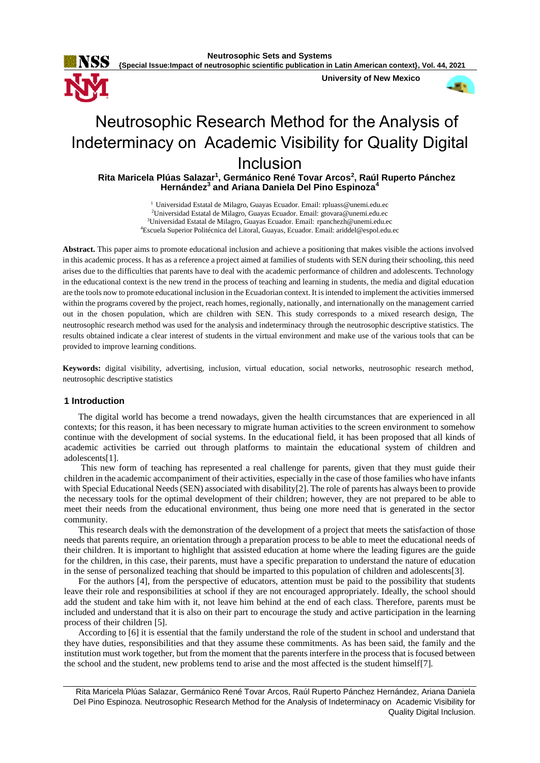

**{Special Issue:Impact of neutrosophic scientific publication in Latin American context}, Vol. 44, 2021**

**University of New Mexico**



# Neutrosophic Research Method for the Analysis of Indeterminacy on Academic Visibility for Quality Digital Inclusion

**Rita Maricela Plúas Salazar<sup>1</sup> , Germánico René Tovar Arcos<sup>2</sup> , Raúl Ruperto Pánchez Hernández<sup>3</sup> and Ariana Daniela Del Pino Espinoza<sup>4</sup>**

> <sup>1</sup> Universidad Estatal de Milagro, Guayas Ecuador. Email: [rpluass@unemi.edu.ec](mailto:rpluass@unemi.edu.ec) Universidad Estatal de Milagro, Guayas Ecuador. Email: [gtovara@unemi.edu.ec](mailto:gtovara@unemi.edu.ec) Universidad Estatal de Milagro, Guayas Ecuador. Email: [rpanchezh@unemi.edu.ec](mailto:rpanchezh@unemi.edu.ec) Escuela Superior Politécnica del Litoral, Guayas, Ecuador. Email: ariddel@espol.edu.ec

**Abstract.** This paper aims to promote educational inclusion and achieve a positioning that makes visible the actions involved in this academic process. It has as a reference a project aimed at families of students with SEN during their schooling, this need arises due to the difficulties that parents have to deal with the academic performance of children and adolescents. Technology in the educational context is the new trend in the process of teaching and learning in students, the media and digital education are the tools now to promote educational inclusion in the Ecuadorian context. It is intended to implement the activities immersed within the programs covered by the project, reach homes, regionally, nationally, and internationally on the management carried out in the chosen population, which are children with SEN. This study corresponds to a mixed research design, The neutrosophic research method was used for the analysis and indeterminacy through the neutrosophic descriptive statistics. The results obtained indicate a clear interest of students in the virtual environment and make use of the various tools that can be provided to improve learning conditions.

**Keywords:** digital visibility, advertising, inclusion, virtual education, social networks, neutrosophic research method, neutrosophic descriptive statistics

## **1 Introduction**

The digital world has become a trend nowadays, given the health circumstances that are experienced in all contexts; for this reason, it has been necessary to migrate human activities to the screen environment to somehow continue with the development of social systems. In the educational field, it has been proposed that all kinds of academic activities be carried out through platforms to maintain the educational system of children and adolescents[1].

This new form of teaching has represented a real challenge for parents, given that they must guide their children in the academic accompaniment of their activities, especially in the case of those families who have infants with Special Educational Needs (SEN) associated with disability[2]. The role of parents has always been to provide the necessary tools for the optimal development of their children; however, they are not prepared to be able to meet their needs from the educational environment, thus being one more need that is generated in the sector community.

This research deals with the demonstration of the development of a project that meets the satisfaction of those needs that parents require, an orientation through a preparation process to be able to meet the educational needs of their children. It is important to highlight that assisted education at home where the leading figures are the guide for the children, in this case, their parents, must have a specific preparation to understand the nature of education in the sense of personalized teaching that should be imparted to this population of children and adolescents[3].

For the authors [4], from the perspective of educators, attention must be paid to the possibility that students leave their role and responsibilities at school if they are not encouraged appropriately. Ideally, the school should add the student and take him with it, not leave him behind at the end of each class. Therefore, parents must be included and understand that it is also on their part to encourage the study and active participation in the learning process of their children [5].

According to [6] it is essential that the family understand the role of the student in school and understand that they have duties, responsibilities and that they assume these commitments. As has been said, the family and the institution must work together, but from the moment that the parents interfere in the process that is focused between the school and the student, new problems tend to arise and the most affected is the student himself[7].

Rita Maricela Plúas Salazar, Germánico René Tovar Arcos, Raúl Ruperto Pánchez Hernández, Ariana Daniela Del Pino Espinoza. Neutrosophic Research Method for the Analysis of Indeterminacy on Academic Visibility for Quality Digital Inclusion.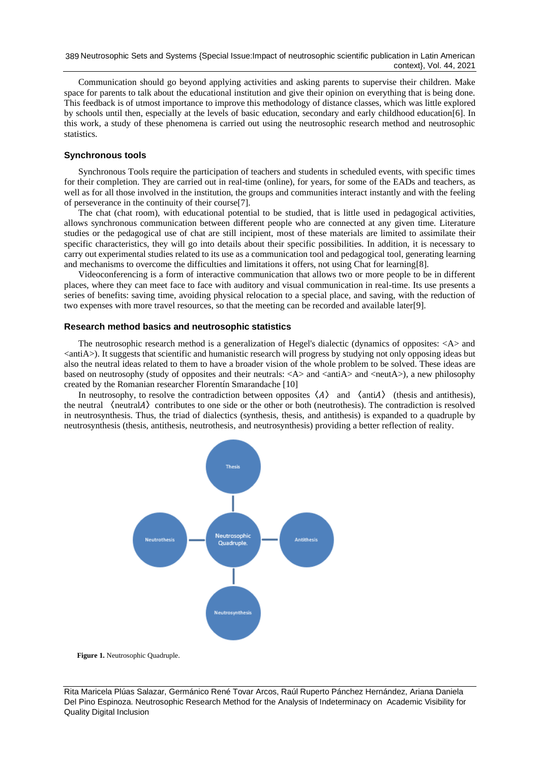Communication should go beyond applying activities and asking parents to supervise their children. Make space for parents to talk about the educational institution and give their opinion on everything that is being done. This feedback is of utmost importance to improve this methodology of distance classes, which was little explored by schools until then, especially at the levels of basic education, secondary and early childhood education[6]. In this work, a study of these phenomena is carried out using the neutrosophic research method and neutrosophic statistics.

# **Synchronous tools**

Synchronous Tools require the participation of teachers and students in scheduled events, with specific times for their completion. They are carried out in real-time (online), for years, for some of the EADs and teachers, as well as for all those involved in the institution, the groups and communities interact instantly and with the feeling of perseverance in the continuity of their course[7].

The chat (chat room), with educational potential to be studied, that is little used in pedagogical activities, allows synchronous communication between different people who are connected at any given time. Literature studies or the pedagogical use of chat are still incipient, most of these materials are limited to assimilate their specific characteristics, they will go into details about their specific possibilities. In addition, it is necessary to carry out experimental studies related to its use as a communication tool and pedagogical tool, generating learning and mechanisms to overcome the difficulties and limitations it offers, not using Chat for learning[8].

Videoconferencing is a form of interactive communication that allows two or more people to be in different places, where they can meet face to face with auditory and visual communication in real-time. Its use presents a series of benefits: saving time, avoiding physical relocation to a special place, and saving, with the reduction of two expenses with more travel resources, so that the meeting can be recorded and available later[9].

#### **Research method basics and neutrosophic statistics**

The neutrosophic research method is a generalization of Hegel's dialectic (dynamics of opposites: <A> and  $\langle$ antiA $\rangle$ ). It suggests that scientific and humanistic research will progress by studying not only opposing ideas but also the neutral ideas related to them to have a broader vision of the whole problem to be solved. These ideas are based on neutrosophy (study of opposites and their neutrals:  $\langle A \rangle$  and  $\langle \text{ant } A \rangle$  and  $\langle \text{cent } A \rangle$ ), a new philosophy created by the Romanian researcher Florentín Smarandache [10]

In neutrosophy, to resolve the contradiction between opposites  $\langle A \rangle$  and  $\langle \text{anti}A \rangle$  (thesis and antithesis), the neutral  $\langle$  neutral $A \rangle$  contributes to one side or the other or both (neutrothesis). The contradiction is resolved in neutrosynthesis. Thus, the triad of dialectics (synthesis, thesis, and antithesis) is expanded to a quadruple by neutrosynthesis (thesis, antithesis, neutrothesis, and neutrosynthesis) providing a better reflection of reality.



**Figure 1.** Neutrosophic Quadruple.

Rita Maricela Plúas Salazar, Germánico René Tovar Arcos, Raúl Ruperto Pánchez Hernández, Ariana Daniela Del Pino Espinoza. Neutrosophic Research Method for the Analysis of Indeterminacy on Academic Visibility for Quality Digital Inclusion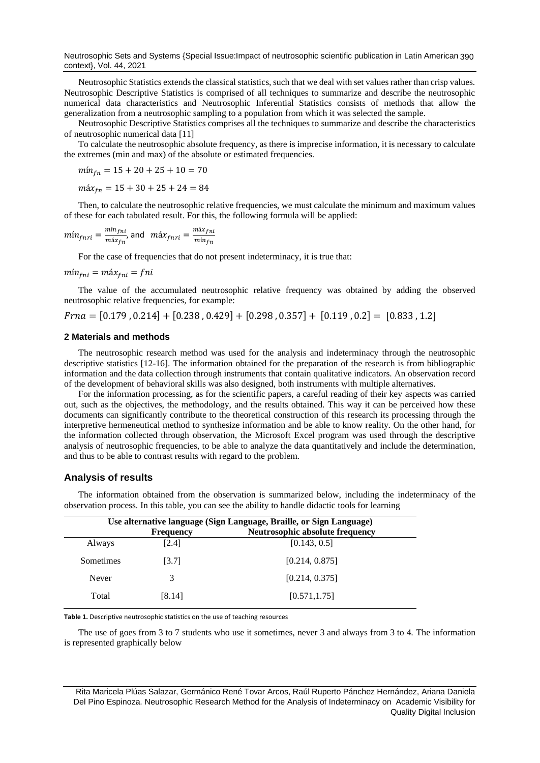Neutrosophic Sets and Systems {Special Issue:Impact of neutrosophic scientific publication in Latin American 390 context}, Vol. 44, 2021

Neutrosophic Statistics extends the classical statistics, such that we deal with set values rather than crisp values. Neutrosophic Descriptive Statistics is comprised of all techniques to summarize and describe the neutrosophic numerical data characteristics and Neutrosophic Inferential Statistics consists of methods that allow the generalization from a neutrosophic sampling to a population from which it was selected the sample.

Neutrosophic Descriptive Statistics comprises all the techniques to summarize and describe the characteristics of neutrosophic numerical data [11]

To calculate the neutrosophic absolute frequency, as there is imprecise information, it is necessary to calculate the extremes (min and max) of the absolute or estimated frequencies.

$$
m in_{fn} = 15 + 20 + 25 + 10 = 70
$$

 $m\acute{a}x_{fn} = 15 + 30 + 25 + 24 = 84$ 

Then, to calculate the neutrosophic relative frequencies, we must calculate the minimum and maximum values of these for each tabulated result. For this, the following formula will be applied:

$$
mín_{fnri} = \frac{min_{fni}}{max_{f{n}}}, \text{ and } m\acute{a}x_{fnri} = \frac{max_{fni}}{min_{f{n}}}
$$

For the case of frequencies that do not present indeterminacy, it is true that:

$$
mín_{fni} = m\land x_{fni} = fni
$$

The value of the accumulated neutrosophic relative frequency was obtained by adding the observed neutrosophic relative frequencies, for example:

 $Frna = [0.179, 0.214] + [0.238, 0.429] + [0.298, 0.357] + [0.119, 0.2] = [0.833, 1.2]$ 

#### **2 Materials and methods**

The neutrosophic research method was used for the analysis and indeterminacy through the neutrosophic descriptive statistics [12-16]. The information obtained for the preparation of the research is from bibliographic information and the data collection through instruments that contain qualitative indicators. An observation record of the development of behavioral skills was also designed, both instruments with multiple alternatives.

For the information processing, as for the scientific papers, a careful reading of their key aspects was carried out, such as the objectives, the methodology, and the results obtained. This way it can be perceived how these documents can significantly contribute to the theoretical construction of this research its processing through the interpretive hermeneutical method to synthesize information and be able to know reality. On the other hand, for the information collected through observation, the Microsoft Excel program was used through the descriptive analysis of neutrosophic frequencies, to be able to analyze the data quantitatively and include the determination, and thus to be able to contrast results with regard to the problem.

#### **Analysis of results**

| Use alternative language (Sign Language, Braille, or Sign Language) |                  |                                        |
|---------------------------------------------------------------------|------------------|----------------------------------------|
|                                                                     | <b>Frequency</b> | <b>Neutrosophic absolute frequency</b> |
| Always                                                              | [2.4]            | [0.143, 0.5]                           |
| Sometimes                                                           | [3.7]            | [0.214, 0.875]                         |
| Never                                                               | 3                | [0.214, 0.375]                         |
| Total                                                               | [8.14]           | [0.571, 1.75]                          |

The information obtained from the observation is summarized below, including the indeterminacy of the observation process. In this table, you can see the ability to handle didactic tools for learning

**Table 1.** Descriptive neutrosophic statistics on the use of teaching resources

The use of goes from 3 to 7 students who use it sometimes, never 3 and always from 3 to 4. The information is represented graphically below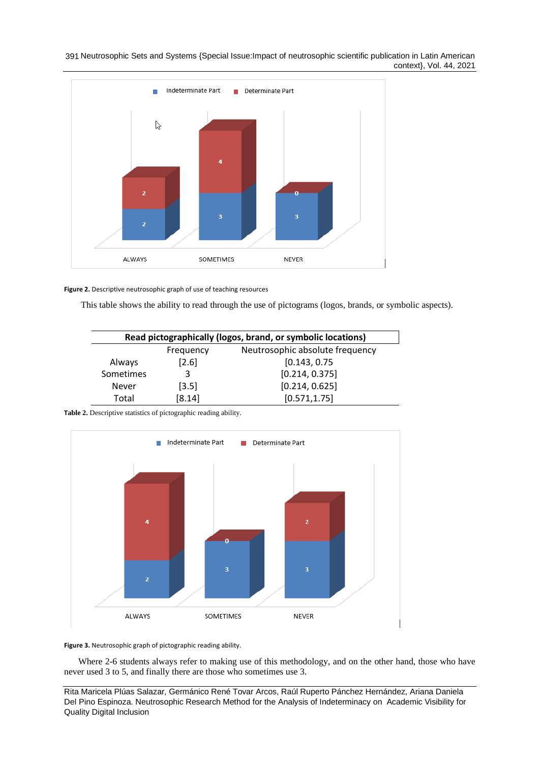391 Neutrosophic Sets and Systems {Special Issue:Impact of neutrosophic scientific publication in Latin American context}, Vol. 44, 2021



**Figure 2.** Descriptive neutrosophic graph of use of teaching resources

This table shows the ability to read through the use of pictograms (logos, brands, or symbolic aspects).

 $\overline{\phantom{a}}$ 

| Read pictographically (logos, brand, or symbolic locations) |           |                                 |  |
|-------------------------------------------------------------|-----------|---------------------------------|--|
|                                                             | Frequency | Neutrosophic absolute frequency |  |
| Always                                                      | $[2.6]$   | [0.143, 0.75]                   |  |
| Sometimes                                                   | 3         | [0.214, 0.375]                  |  |
| Never                                                       | $[3.5]$   | [0.214, 0.625]                  |  |
| Total                                                       | [8.14]    | [0.571, 1.75]                   |  |

**Table 2.** Descriptive statistics of pictographic reading ability.



**Figure 3.** Neutrosophic graph of pictographic reading ability.

Where 2-6 students always refer to making use of this methodology, and on the other hand, those who have never used 3 to 5, and finally there are those who sometimes use 3.

Rita Maricela Plúas Salazar, Germánico René Tovar Arcos, Raúl Ruperto Pánchez Hernández, Ariana Daniela Del Pino Espinoza. Neutrosophic Research Method for the Analysis of Indeterminacy on Academic Visibility for Quality Digital Inclusion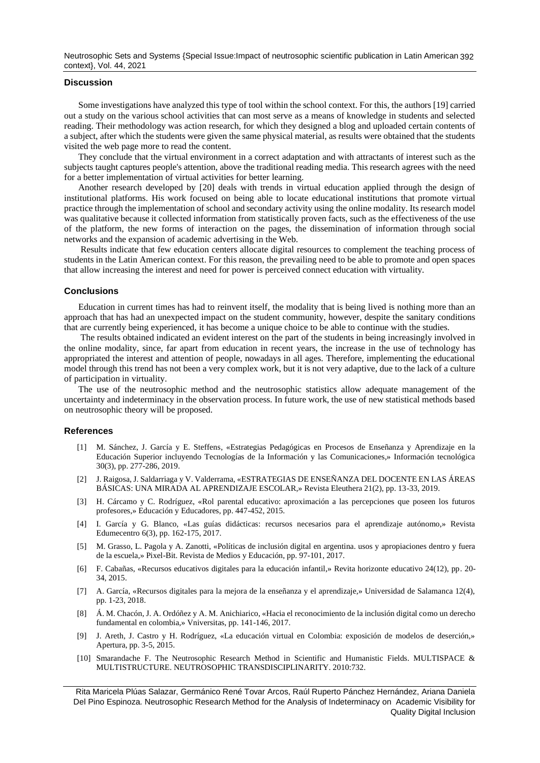Neutrosophic Sets and Systems {Special Issue:Impact of neutrosophic scientific publication in Latin American 392 context}, Vol. 44, 2021

#### **Discussion**

Some investigations have analyzed this type of tool within the school context. For this, the authors [19] carried out a study on the various school activities that can most serve as a means of knowledge in students and selected reading. Their methodology was action research, for which they designed a blog and uploaded certain contents of a subject, after which the students were given the same physical material, as results were obtained that the students visited the web page more to read the content.

They conclude that the virtual environment in a correct adaptation and with attractants of interest such as the subjects taught captures people's attention, above the traditional reading media. This research agrees with the need for a better implementation of virtual activities for better learning.

Another research developed by [20] deals with trends in virtual education applied through the design of institutional platforms. His work focused on being able to locate educational institutions that promote virtual practice through the implementation of school and secondary activity using the online modality. Its research model was qualitative because it collected information from statistically proven facts, such as the effectiveness of the use of the platform, the new forms of interaction on the pages, the dissemination of information through social networks and the expansion of academic advertising in the Web.

Results indicate that few education centers allocate digital resources to complement the teaching process of students in the Latin American context. For this reason, the prevailing need to be able to promote and open spaces that allow increasing the interest and need for power is perceived connect education with virtuality.

### **Conclusions**

Education in current times has had to reinvent itself, the modality that is being lived is nothing more than an approach that has had an unexpected impact on the student community, however, despite the sanitary conditions that are currently being experienced, it has become a unique choice to be able to continue with the studies.

The results obtained indicated an evident interest on the part of the students in being increasingly involved in the online modality, since, far apart from education in recent years, the increase in the use of technology has appropriated the interest and attention of people, nowadays in all ages. Therefore, implementing the educational model through this trend has not been a very complex work, but it is not very adaptive, due to the lack of a culture of participation in virtuality.

The use of the neutrosophic method and the neutrosophic statistics allow adequate management of the uncertainty and indeterminacy in the observation process. In future work, the use of new statistical methods based on neutrosophic theory will be proposed.

#### **References**

- [1] M. Sánchez, J. García y E. Steffens, «Estrategias Pedagógicas en Procesos de Enseñanza y Aprendizaje en la Educación Superior incluyendo Tecnologías de la Información y las Comunicaciones,» Información tecnológica 30(3), pp. 277-286, 2019.
- [2] J. Raigosa, J. Saldarriaga y V. Valderrama, «ESTRATEGIAS DE ENSEÑANZA DEL DOCENTE EN LAS ÁREAS BÁSICAS: UNA MIRADA AL APRENDIZAJE ESCOLAR,» Revista Eleuthera 21(2), pp. 13-33, 2019.
- [3] H. Cárcamo y C. Rodríguez, «Rol parental educativo: aproximación a las percepciones que poseen los futuros profesores,» Educación y Educadores, pp. 447-452, 2015.
- [4] I. García y G. Blanco, «Las guías didácticas: recursos necesarios para el aprendizaje autónomo,» Revista Edumecentro 6(3), pp. 162-175, 2017.
- [5] M. Grasso, L. Pagola y A. Zanotti, «Políticas de inclusión digital en argentina. usos y apropiaciones dentro y fuera de la escuela,» Pixel-Bit. Revista de Medios y Educación, pp. 97-101, 2017.
- [6] F. Cabañas, «Recursos educativos digitales para la educación infantil,» Revita horizonte educativo 24(12), pp. 20- 34, 2015.
- [7] A. García, «Recursos digitales para la mejora de la enseñanza y el aprendizaje,» Universidad de Salamanca 12(4), pp. 1-23, 2018.
- [8] Á. M. Chacón, J. A. Ordóñez y A. M. Anichiarico, «Hacia el reconocimiento de la inclusión digital como un derecho fundamental en colombia,» Vniversitas, pp. 141-146, 2017.
- [9] J. Areth, J. Castro y H. Rodríguez, «La educación virtual en Colombia: exposición de modelos de deserción,» Apertura, pp. 3-5, 2015.
- [10] Smarandache F. The Neutrosophic Research Method in Scientific and Humanistic Fields. MULTISPACE & MULTISTRUCTURE. NEUTROSOPHIC TRANSDISCIPLINARITY. 2010:732.

Rita Maricela Plúas Salazar, Germánico René Tovar Arcos, Raúl Ruperto Pánchez Hernández, Ariana Daniela Del Pino Espinoza. Neutrosophic Research Method for the Analysis of Indeterminacy on Academic Visibility for Quality Digital Inclusion